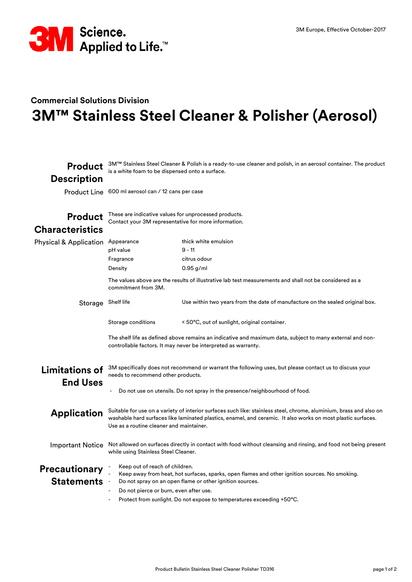

## **Commercial Solutions Division 3M™ Stainless Steel Cleaner & Polisher (Aerosol)**

| <b>Product</b><br><b>Description</b>      | 3M™ Stainless Steel Cleaner & Polish is a ready-to-use cleaner and polish, in an aerosol container. The product<br>is a white foam to be dispensed onto a surface.                                                                                                                                              |                                                                                                                                                                                                                                                                                                              |
|-------------------------------------------|-----------------------------------------------------------------------------------------------------------------------------------------------------------------------------------------------------------------------------------------------------------------------------------------------------------------|--------------------------------------------------------------------------------------------------------------------------------------------------------------------------------------------------------------------------------------------------------------------------------------------------------------|
| <b>Product Line</b>                       | 600 ml aerosol can / 12 cans per case                                                                                                                                                                                                                                                                           |                                                                                                                                                                                                                                                                                                              |
| <b>Product</b><br><b>Characteristics</b>  | These are indicative values for unprocessed products.<br>Contact your 3M representative for more information.                                                                                                                                                                                                   |                                                                                                                                                                                                                                                                                                              |
| <b>Physical &amp; Application</b>         | Appearance<br>pH value<br>Fragrance<br>Density<br>commitment from 3M.                                                                                                                                                                                                                                           | thick white emulsion<br>$9 - 11$<br>citrus odour<br>$0.95$ g/ml<br>The values above are the results of illustrative lab test measurements and shall not be considered as a                                                                                                                                   |
| Storage Shelf life                        | Storage conditions                                                                                                                                                                                                                                                                                              | Use within two years from the date of manufacture on the sealed original box.<br>< 50°C, out of sunlight, original container.<br>The shelf life as defined above remains an indicative and maximum data, subject to many external and non-<br>controllable factors. It may never be interpreted as warranty. |
| <b>Limitations of</b><br><b>End Uses</b>  | 3M specifically does not recommend or warrant the following uses, but please contact us to discuss your<br>needs to recommend other products.<br>Do not use on utensils. Do not spray in the presence/neighbourhood of food.                                                                                    |                                                                                                                                                                                                                                                                                                              |
| <b>Application</b>                        | Suitable for use on a variety of interior surfaces such like: stainless steel, chrome, aluminium, brass and also on<br>washable hard surfaces like laminated plastics, enamel, and ceramic. It also works on most plastic surfaces.<br>Use as a routine cleaner and maintainer.                                 |                                                                                                                                                                                                                                                                                                              |
| <b>Important Notice</b>                   | Not allowed on surfaces directly in contact with food without cleansing and rinsing, and food not being present<br>while using Stainless Steel Cleaner.                                                                                                                                                         |                                                                                                                                                                                                                                                                                                              |
| <b>Precautionary</b><br><b>Statements</b> | Keep out of reach of children.<br>Keep away from heat, hot surfaces, sparks, open flames and other ignition sources. No smoking.<br>Do not spray on an open flame or other ignition sources.<br>Do not pierce or burn, even after use.<br>Protect from sunlight. Do not expose to temperatures exceeding +50°C. |                                                                                                                                                                                                                                                                                                              |